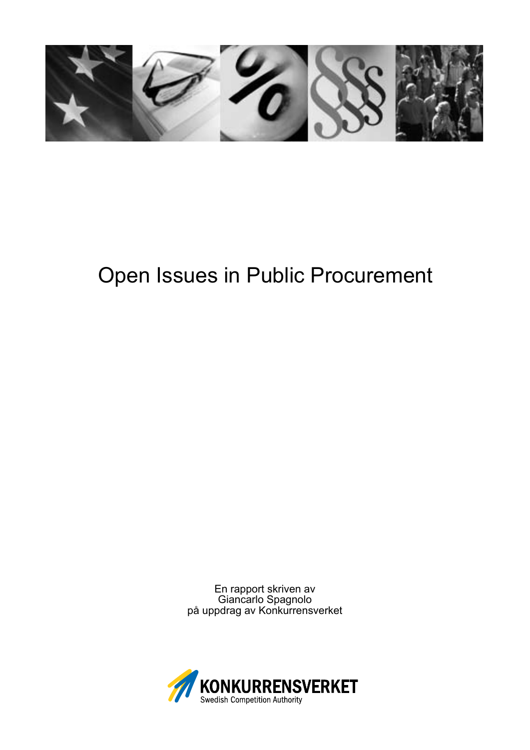

# Open Issues in Public Procurement

En rapport skriven av Giancarlo Spagnolo på uppdrag av Konkurrensverket

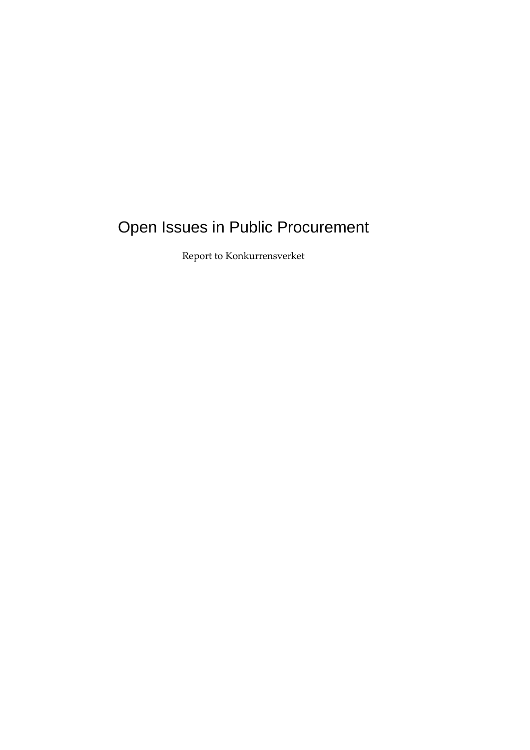## Open Issues in Public Procurement

Report to Konkurrensverket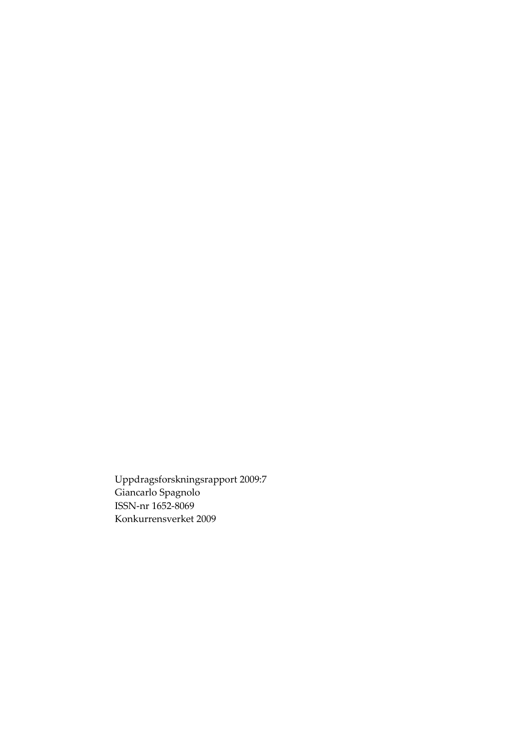Uppdragsforskningsrapport 2009:7 Giancarlo Spagnolo ISSN-nr 1652-8069 Konkurrensverket 2009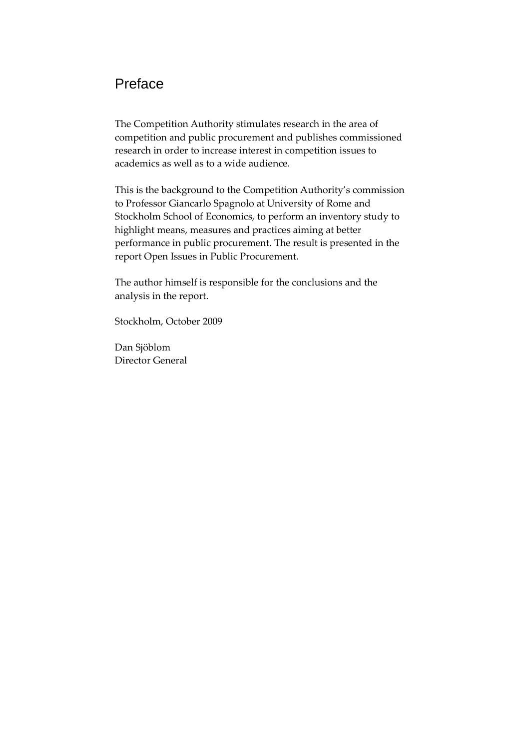## Preface

[The Competition Authority stimulates research in the area of](#page-5-0)  [competition and public procurement and publishes commissioned](#page-7-0)  [research in order to increase interest in competition issues to](#page-7-1)  [academics as well as to a wide audience.](#page-10-0) 

[This is the background to the Competition Authority's commission](#page-14-0)  [to Professor Giancarlo Spagnolo at University of Rome and](#page-14-1)  Stockholm School of Economics, to perform an inventory study to [highlight means, measures and practices aiming at better](#page-16-0)  [performance in public procurement. The result is presented in the](#page-17-0)  [report Open Issues in Public Procurement.](#page-19-0) 

[The author himself is responsible for the conclusions and the](#page-21-0)  analysis in the report.

[Stockholm, October 2009](#page-32-0) 

[Dan Sjöblom](#page-34-0)  [Director General](#page-34-0)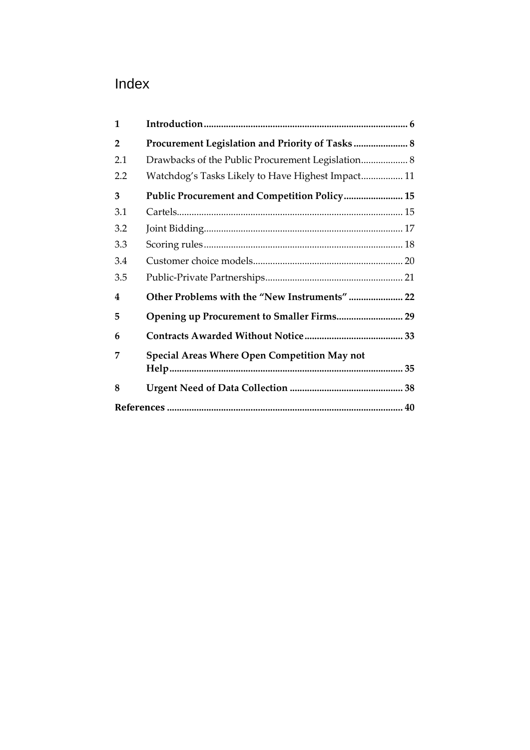## <span id="page-5-0"></span>Index

| $\mathbf{1}$   |                                                   |  |  |
|----------------|---------------------------------------------------|--|--|
| $\overline{2}$ | Procurement Legislation and Priority of Tasks 8   |  |  |
| 2.1            | Drawbacks of the Public Procurement Legislation 8 |  |  |
| 2.2            | Watchdog's Tasks Likely to Have Highest Impact 11 |  |  |
| 3              | Public Procurement and Competition Policy 15      |  |  |
| 3.1            |                                                   |  |  |
| 3.2            |                                                   |  |  |
| 3.3            |                                                   |  |  |
| 3.4            |                                                   |  |  |
| 3.5            |                                                   |  |  |
| 4              | Other Problems with the "New Instruments"  22     |  |  |
| 5              |                                                   |  |  |
| 6              |                                                   |  |  |
| 7              | Special Areas Where Open Competition May not      |  |  |
|                |                                                   |  |  |
| 8              |                                                   |  |  |
|                |                                                   |  |  |
|                |                                                   |  |  |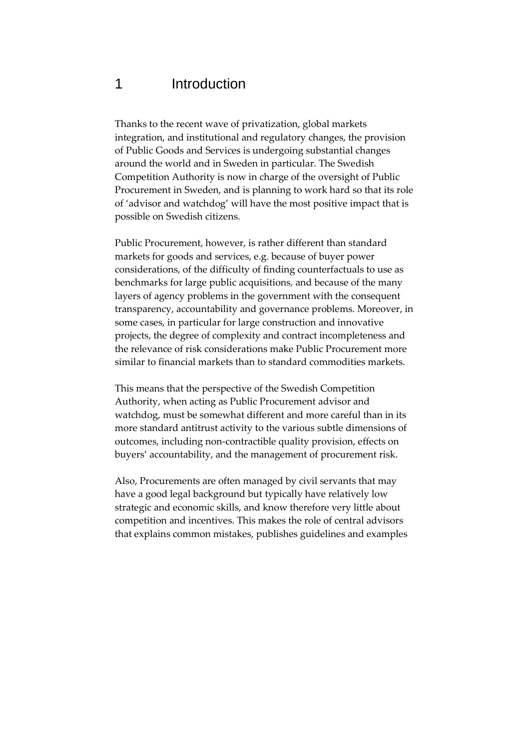## 1 Introduction

Thanks to the recent wave of privatization, global markets integration, and institutional and regulatory changes, the provision of Public Goods and Services is undergoing substantial changes around the world and in Sweden in particular. The Swedish Competition Authority is now in charge of the oversight of Public Procurement in Sweden, and is planning to work hard so that its role of 'advisor and watchdog' will have the most positive impact that is possible on Swedish citizens.

Public Procurement, however, is rather different than standard markets for goods and services, e.g. because of buyer power considerations, of the difficulty of finding counterfactuals to use as benchmarks for large public acquisitions, and because of the many layers of agency problems in the government with the consequent transparency, accountability and governance problems. Moreover, in some cases, in particular for large construction and innovative projects, the degree of complexity and contract incompleteness and the relevance of risk considerations make Public Procurement more similar to financial markets than to standard commodities markets.

This means that the perspective of the Swedish Competition Authority, when acting as Public Procurement advisor and watchdog, must be somewhat different and more careful than in its more standard antitrust activity to the various subtle dimensions of outcomes, including non-contractible quality provision, effects on buyers' accountability, and the management of procurement risk.

Also, Procurements are often managed by civil servants that may have a good legal background but typically have relatively low strategic and economic skills, and know therefore very little about competition and incentives. This makes the role of central advisors that explains common mistakes, publishes guidelines and examples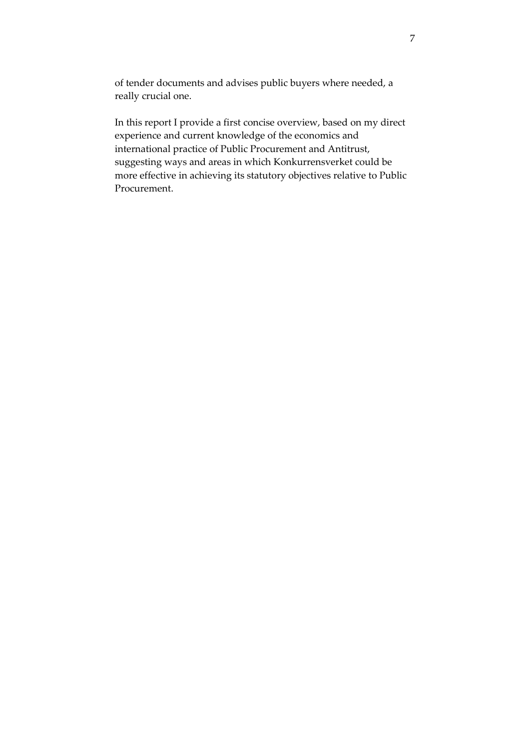<span id="page-7-0"></span>of tender documents and advises public buyers where needed, a really crucial one.

<span id="page-7-1"></span>In this report I provide a first concise overview, based on my direct experience and current knowledge of the economics and international practice of Public Procurement and Antitrust, suggesting ways and areas in which Konkurrensverket could be more effective in achieving its statutory objectives relative to Public Procurement.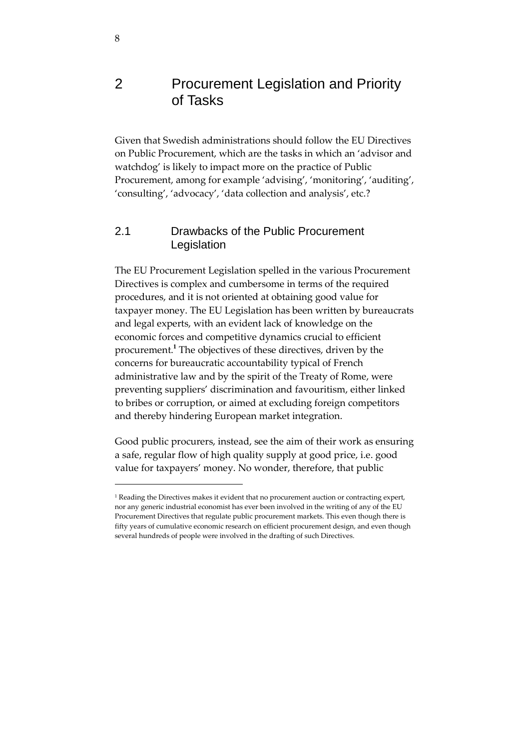## 2 Procurement Legislation and Priority of Tasks

Given that Swedish administrations should follow the EU Directives on Public Procurement, which are the tasks in which an 'advisor and watchdog' is likely to impact more on the practice of Public Procurement, among for example 'advising', 'monitoring', 'auditing', 'consulting', 'advocacy', 'data collection and analysis', etc.?

#### 2.1 Drawbacks of the Public Procurement Legislation

The EU Procurement Legislation spelled in the various Procurement Directives is complex and cumbersome in terms of the required procedures, and it is not oriented at obtaining good value for taxpayer money. The EU Legislation has been written by bureaucrats and legal experts, with an evident lack of knowledge on the economic forces and competitive dynamics crucial to efficient procurement.**<sup>1</sup>** The objectives of these directives, driven by the concerns for bureaucratic accountability typical of French administrative law and by the spirit of the Treaty of Rome, were preventing suppliers' discrimination and favouritism, either linked to bribes or corruption, or aimed at excluding foreign competitors and thereby hindering European market integration.

Good public procurers, instead, see the aim of their work as ensuring a safe, regular flow of high quality supply at good price, i.e. good value for taxpayers' money. No wonder, therefore, that public

 $1$  Reading the Directives makes it evident that no procurement auction or contracting expert, nor any generic industrial economist has ever been involved in the writing of any of the EU Procurement Directives that regulate public procurement markets. This even though there is fifty years of cumulative economic research on efficient procurement design, and even though several hundreds of people were involved in the drafting of such Directives.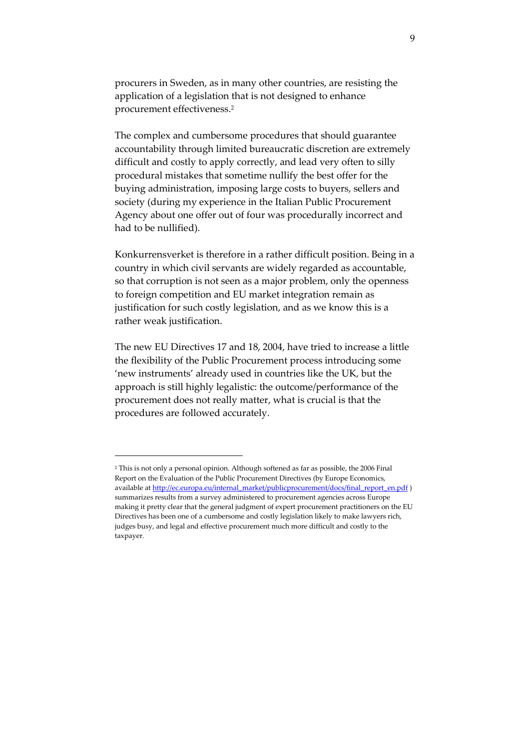procurers in Sweden, as in many other countries, are resisting the application of a legislation that is not designed to enhance procurement effectiveness.<sup>2</sup>

The complex and cumbersome procedures that should guarantee accountability through limited bureaucratic discretion are extremely difficult and costly to apply correctly, and lead very often to silly procedural mistakes that sometime nullify the best offer for the buying administration, imposing large costs to buyers, sellers and society (during my experience in the Italian Public Procurement Agency about one offer out of four was procedurally incorrect and had to be nullified).

Konkurrensverket is therefore in a rather difficult position. Being in a country in which civil servants are widely regarded as accountable, so that corruption is not seen as a major problem, only the openness to foreign competition and EU market integration remain as justification for such costly legislation, and as we know this is a rather weak justification.

The new EU Directives 17 and 18, 2004, have tried to increase a little the flexibility of the Public Procurement process introducing some 'new instruments' already used in countries like the UK, but the approach is still highly legalistic: the outcome/performance of the procurement does not really matter, what is crucial is that the procedures are followed accurately.

<sup>2</sup> This is not only a personal opinion. Although softened as far as possible, the 2006 Final Report on the Evaluation of the Public Procurement Directives (by Europe Economics, available at http://ec.europa.eu/internal\_market/publicprocurement/docs/final\_report\_en.pdf ) summarizes results from a survey administered to procurement agencies across Europe making it pretty clear that the general judgment of expert procurement practitioners on the EU Directives has been one of a cumbersome and costly legislation likely to make lawyers rich, judges busy, and legal and effective procurement much more difficult and costly to the taxpayer.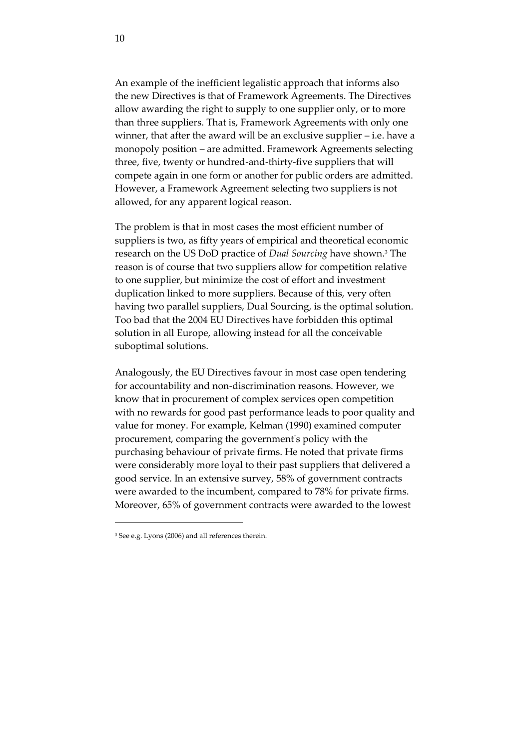An example of the inefficient legalistic approach that informs also the new Directives is that of Framework Agreements. The Directives allow awarding the right to supply to one supplier only, or to more than three suppliers. That is, Framework Agreements with only one winner, that after the award will be an exclusive supplier – i.e. have a monopoly position – are admitted. Framework Agreements selecting three, five, twenty or hundred-and-thirty-five suppliers that will compete again in one form or another for public orders are admitted. However, a Framework Agreement selecting two suppliers is not allowed, for any apparent logical reason.

The problem is that in most cases the most efficient number of suppliers is two, as fifty years of empirical and theoretical economic research on the US DoD practice of *Dual Sourcing* have shown.<sup>3</sup> The reason is of course that two suppliers allow for competition relative to one supplier, but minimize the cost of effort and investment duplication linked to more suppliers. Because of this, very often having two parallel suppliers, Dual Sourcing, is the optimal solution. Too bad that the 2004 EU Directives have forbidden this optimal solution in all Europe, allowing instead for all the conceivable suboptimal solutions.

<span id="page-10-0"></span>Analogously, the EU Directives favour in most case open tendering for accountability and non-discrimination reasons. However, we know that in procurement of complex services open competition with no rewards for good past performance leads to poor quality and value for money. For example, Kelman (1990) examined computer procurement, comparing the government's policy with the purchasing behaviour of private firms. He noted that private firms were considerably more loyal to their past suppliers that delivered a good service. In an extensive survey, 58% of government contracts were awarded to the incumbent, compared to 78% for private firms. Moreover, 65% of government contracts were awarded to the lowest

<sup>&</sup>lt;sup>3</sup> See e.g. Lyons (2006) and all references therein.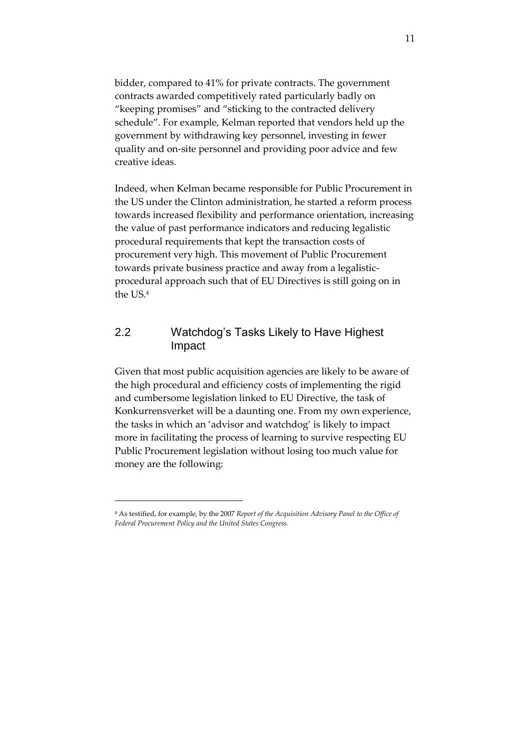bidder, compared to 41% for private contracts. The government contracts awarded competitively rated particularly badly on 'keeping promises' and 'sticking to the contracted delivery schedule'. For example, Kelman reported that vendors held up the government by withdrawing key personnel, investing in fewer quality and on-site personnel and providing poor advice and few creative ideas.

Indeed, when Kelman became responsible for Public Procurement in the US under the Clinton administration, he started a reform process towards increased flexibility and performance orientation, increasing the value of past performance indicators and reducing legalistic procedural requirements that kept the transaction costs of procurement very high. This movement of Public Procurement towards private business practice and away from a legalisticprocedural approach such that of EU Directives is still going on in the US.<sup>4</sup>

#### 2.2 Watchdog's Tasks Likely to Have Highest Impact

Given that most public acquisition agencies are likely to be aware of the high procedural and efficiency costs of implementing the rigid and cumbersome legislation linked to EU Directive, the task of Konkurrensverket will be a daunting one. From my own experience, the tasks in which an 'advisor and watchdog' is likely to impact more in facilitating the process of learning to survive respecting EU Public Procurement legislation without losing too much value for money are the following:

<sup>4</sup> As testified, for example, by the 2007 *Report of the Acquisition Advisory Panel to the Office of Federal Procurement Policy and the United States Congress.*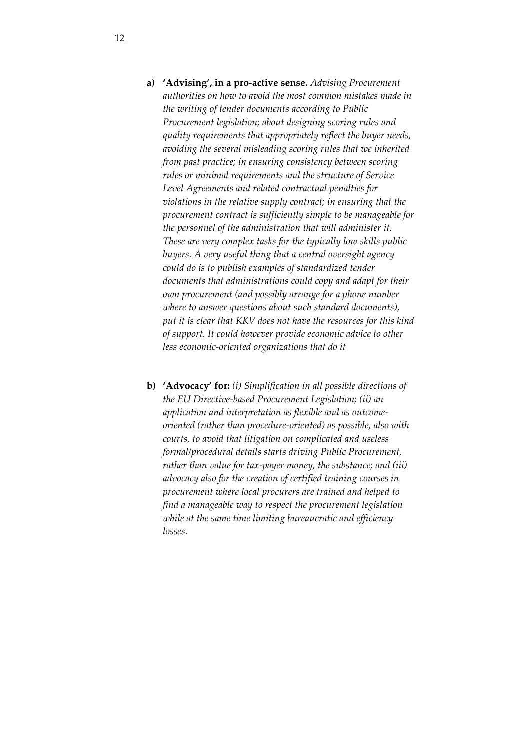- **a) 'Advising', in a pro-active sense.** *Advising Procurement authorities on how to avoid the most common mistakes made in the writing of tender documents according to Public Procurement legislation; about designing scoring rules and quality requirements that appropriately reflect the buyer needs, avoiding the several misleading scoring rules that we inherited from past practice; in ensuring consistency between scoring rules or minimal requirements and the structure of Service Level Agreements and related contractual penalties for violations in the relative supply contract; in ensuring that the procurement contract is sufficiently simple to be manageable for the personnel of the administration that will administer it. These are very complex tasks for the typically low skills public buyers. A very useful thing that a central oversight agency could do is to publish examples of standardized tender documents that administrations could copy and adapt for their own procurement (and possibly arrange for a phone number where to answer questions about such standard documents), put it is clear that KKV does not have the resources for this kind of support. It could however provide economic advice to other less economic-oriented organizations that do it*
- **b) 'Advocacy' for:** *(i) Simplification in all possible directions of the EU Directive-based Procurement Legislation; (ii) an application and interpretation as flexible and as outcomeoriented (rather than procedure-oriented) as possible, also with courts, to avoid that litigation on complicated and useless formal/procedural details starts driving Public Procurement, rather than value for tax-payer money, the substance; and (iii) advocacy also for the creation of certified training courses in procurement where local procurers are trained and helped to find a manageable way to respect the procurement legislation while at the same time limiting bureaucratic and efficiency losses.*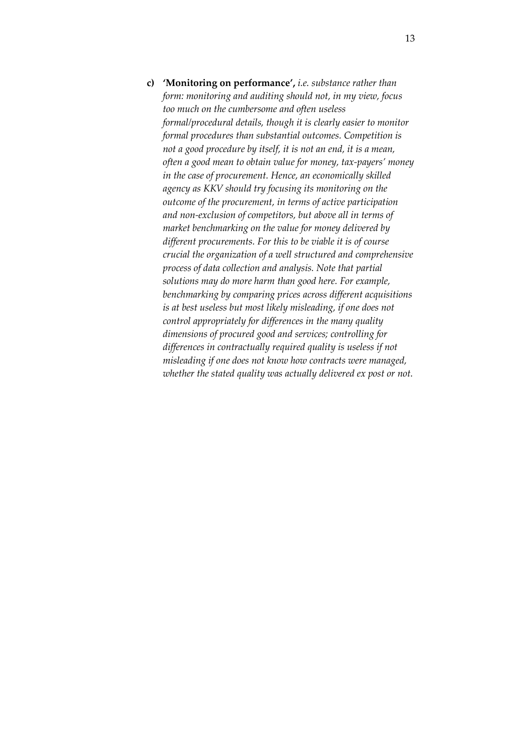**c) 'Monitoring on performance',** *i.e. substance rather than form: monitoring and auditing should not, in my view, focus too much on the cumbersome and often useless formal/procedural details, though it is clearly easier to monitor formal procedures than substantial outcomes. Competition is not a good procedure by itself, it is not an end, it is a mean, often a good mean to obtain value for money, tax-payers' money in the case of procurement. Hence, an economically skilled agency as KKV should try focusing its monitoring on the outcome of the procurement, in terms of active participation and non-exclusion of competitors, but above all in terms of market benchmarking on the value for money delivered by different procurements. For this to be viable it is of course crucial the organization of a well structured and comprehensive process of data collection and analysis. Note that partial solutions may do more harm than good here. For example, benchmarking by comparing prices across different acquisitions is at best useless but most likely misleading, if one does not control appropriately for differences in the many quality dimensions of procured good and services; controlling for differences in contractually required quality is useless if not misleading if one does not know how contracts were managed, whether the stated quality was actually delivered ex post or not.*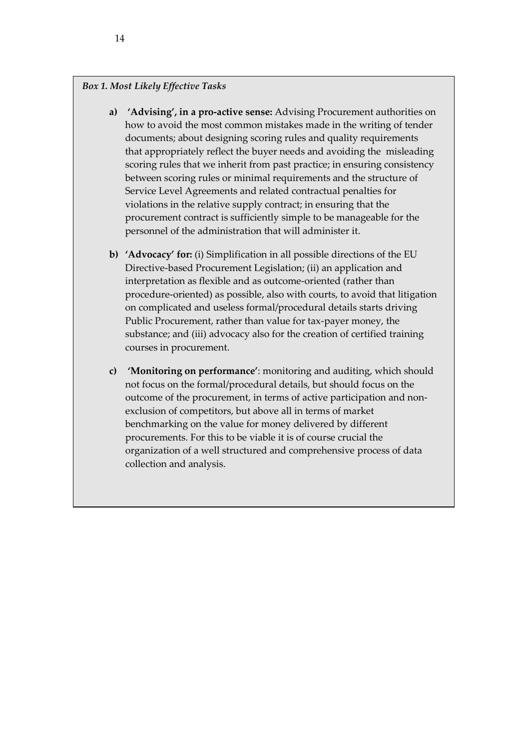#### *Box 1. Most Likely Effective Tasks*

- <span id="page-14-0"></span>**a) 'Advising', in a pro-active sense:** Advising Procurement authorities on how to avoid the most common mistakes made in the writing of tender documents; about designing scoring rules and quality requirements that appropriately reflect the buyer needs and avoiding the misleading scoring rules that we inherit from past practice; in ensuring consistency between scoring rules or minimal requirements and the structure of Service Level Agreements and related contractual penalties for violations in the relative supply contract; in ensuring that the procurement contract is sufficiently simple to be manageable for the personnel of the administration that will administer it.
- <span id="page-14-1"></span>**b) 'Advocacy' for:** (i) Simplification in all possible directions of the EU Directive-based Procurement Legislation; (ii) an application and interpretation as flexible and as outcome-oriented (rather than procedure-oriented) as possible, also with courts, to avoid that litigation on complicated and useless formal/procedural details starts driving Public Procurement, rather than value for tax-payer money, the substance; and (iii) advocacy also for the creation of certified training courses in procurement.
- **c) 'Monitoring on performance'**: monitoring and auditing, which should not focus on the formal/procedural details, but should focus on the outcome of the procurement, in terms of active participation and nonexclusion of competitors, but above all in terms of market benchmarking on the value for money delivered by different procurements. For this to be viable it is of course crucial the organization of a well structured and comprehensive process of data collection and analysis.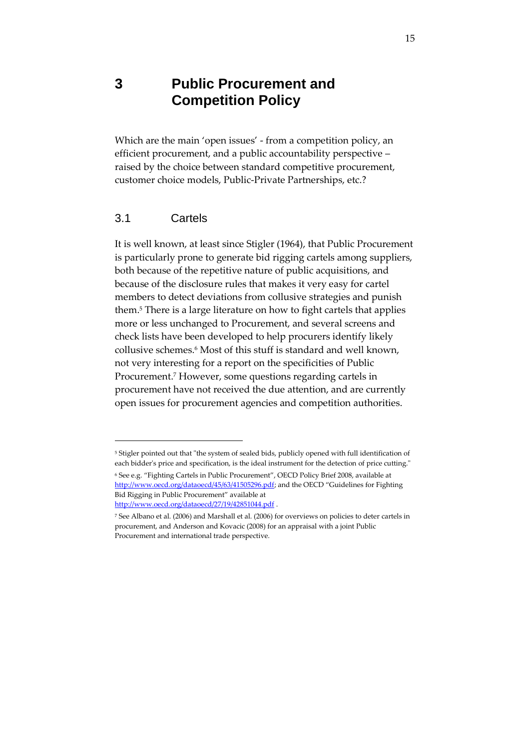## **3 Public Procurement and Competition Policy**

Which are the main 'open issues' - from a competition policy, an efficient procurement, and a public accountability perspective – raised by the choice between standard competitive procurement, customer choice models, Public-Private Partnerships, etc.?

#### 3.1 Cartels

-

It is well known, at least since Stigler (1964), that Public Procurement is particularly prone to generate bid rigging cartels among suppliers, both because of the repetitive nature of public acquisitions, and because of the disclosure rules that makes it very easy for cartel members to detect deviations from collusive strategies and punish them.<sup>5</sup> There is a large literature on how to fight cartels that applies more or less unchanged to Procurement, and several screens and check lists have been developed to help procurers identify likely collusive schemes.<sup>6</sup> Most of this stuff is standard and well known, not very interesting for a report on the specificities of Public Procurement.<sup>7</sup> However, some questions regarding cartels in procurement have not received the due attention, and are currently open issues for procurement agencies and competition authorities.

<sup>5</sup> Stigler pointed out that "the system of sealed bids, publicly opened with full identification of each bidder's price and specification, is the ideal instrument for the detection of price cutting." <sup>6</sup> See e.g. 'Fighting Cartels in Public Procurement', OECD Policy Brief 2008, available at

http://www.oecd.org/dataoecd/45/63/41505296.pdf; and the OECD "Guidelines for Fighting Bid Rigging in Public Procurement' available at

http://www.oecd.org/dataoecd/27/19/42851044.pdf

<sup>7</sup> See Albano et al. (2006) and Marshall et al. (2006) for overviews on policies to deter cartels in procurement, and Anderson and Kovacic (2008) for an appraisal with a joint Public Procurement and international trade perspective.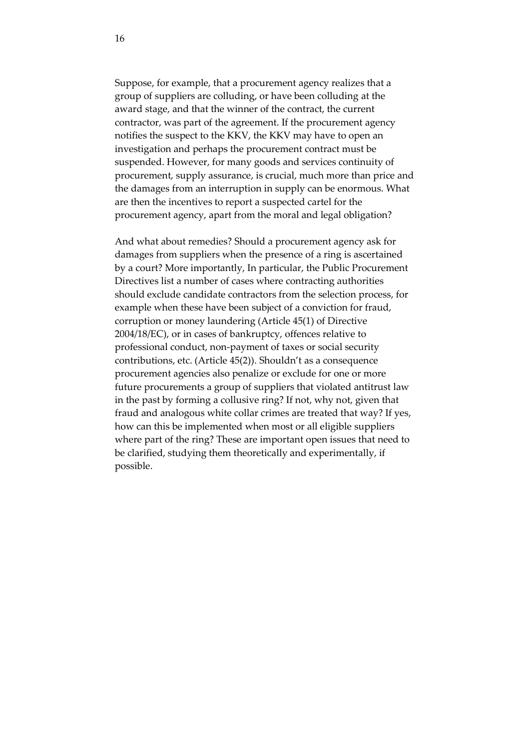<span id="page-16-0"></span>Suppose, for example, that a procurement agency realizes that a group of suppliers are colluding, or have been colluding at the award stage, and that the winner of the contract, the current contractor, was part of the agreement. If the procurement agency notifies the suspect to the KKV, the KKV may have to open an investigation and perhaps the procurement contract must be suspended. However, for many goods and services continuity of procurement, supply assurance, is crucial, much more than price and the damages from an interruption in supply can be enormous. What are then the incentives to report a suspected cartel for the procurement agency, apart from the moral and legal obligation?

And what about remedies? Should a procurement agency ask for damages from suppliers when the presence of a ring is ascertained by a court? More importantly, In particular, the Public Procurement Directives list a number of cases where contracting authorities should exclude candidate contractors from the selection process, for example when these have been subject of a conviction for fraud, corruption or money laundering (Article 45(1) of Directive 2004/18/EC), or in cases of bankruptcy, offences relative to professional conduct, non-payment of taxes or social security contributions, etc. (Article 45(2)). Shouldn't as a consequence procurement agencies also penalize or exclude for one or more future procurements a group of suppliers that violated antitrust law in the past by forming a collusive ring? If not, why not, given that fraud and analogous white collar crimes are treated that way? If yes, how can this be implemented when most or all eligible suppliers where part of the ring? These are important open issues that need to be clarified, studying them theoretically and experimentally, if possible.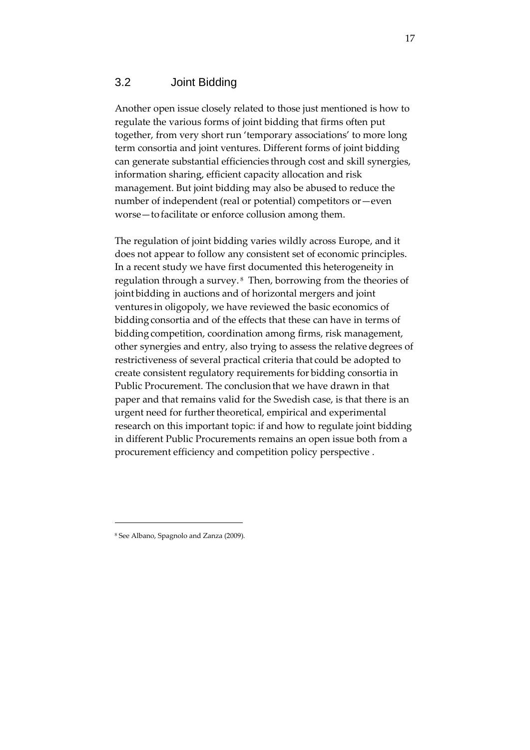#### <span id="page-17-0"></span>3.2 Joint Bidding

Another open issue closely related to those just mentioned is how to regulate the various forms of joint bidding that firms often put together, from very short run 'temporary associations' to more long term consortia and joint ventures. Different forms of joint bidding can generate substantial efficiencies through cost and skill synergies, information sharing, efficient capacity allocation and risk management. But joint bidding may also be abused to reduce the number of independent (real or potential) competitors or—even worse—to facilitate or enforce collusion among them.

The regulation of joint bidding varies wildly across Europe, and it does not appear to follow any consistent set of economic principles. In a recent study we have first documented this heterogeneity in regulation through a survey. <sup>8</sup> Then, borrowing from the theories of joint bidding in auctions and of horizontal mergers and joint ventures in oligopoly, we have reviewed the basic economics of bidding consortia and of the effects that these can have in terms of bidding competition, coordination among firms, risk management, other synergies and entry, also trying to assess the relative degrees of restrictiveness of several practical criteria that could be adopted to create consistent regulatory requirements for bidding consortia in Public Procurement. The conclusion that we have drawn in that paper and that remains valid for the Swedish case, is that there is an urgent need for further theoretical, empirical and experimental research on this important topic: if and how to regulate joint bidding in different Public Procurements remains an open issue both from a procurement efficiency and competition policy perspective .

<sup>8</sup> See Albano, Spagnolo and Zanza (2009).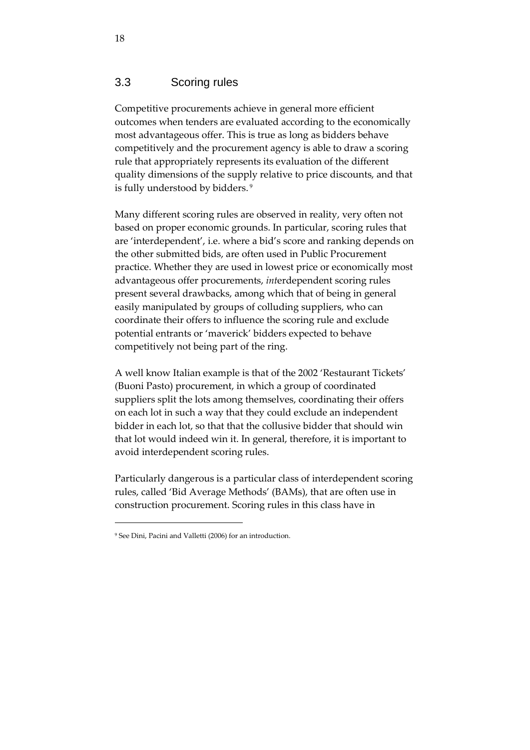#### 3.3 Scoring rules

Competitive procurements achieve in general more efficient outcomes when tenders are evaluated according to the economically most advantageous offer. This is true as long as bidders behave competitively and the procurement agency is able to draw a scoring rule that appropriately represents its evaluation of the different quality dimensions of the supply relative to price discounts, and that is fully understood by bidders. <sup>9</sup>

Many different scoring rules are observed in reality, very often not based on proper economic grounds. In particular, scoring rules that are 'interdependent', i.e. where a bid's score and ranking depends on the other submitted bids, are often used in Public Procurement practice. Whether they are used in lowest price or economically most advantageous offer procurements, *int*erdependent scoring rules present several drawbacks, among which that of being in general easily manipulated by groups of colluding suppliers, who can coordinate their offers to influence the scoring rule and exclude potential entrants or 'maverick' bidders expected to behave competitively not being part of the ring.

A well know Italian example is that of the 2002 'Restaurant Tickets' (Buoni Pasto) procurement, in which a group of coordinated suppliers split the lots among themselves, coordinating their offers on each lot in such a way that they could exclude an independent bidder in each lot, so that that the collusive bidder that should win that lot would indeed win it. In general, therefore, it is important to avoid interdependent scoring rules.

Particularly dangerous is a particular class of interdependent scoring rules, called 'Bid Average Methods' (BAMs), that are often use in construction procurement. Scoring rules in this class have in

<sup>9</sup> See Dini, Pacini and Valletti (2006) for an introduction.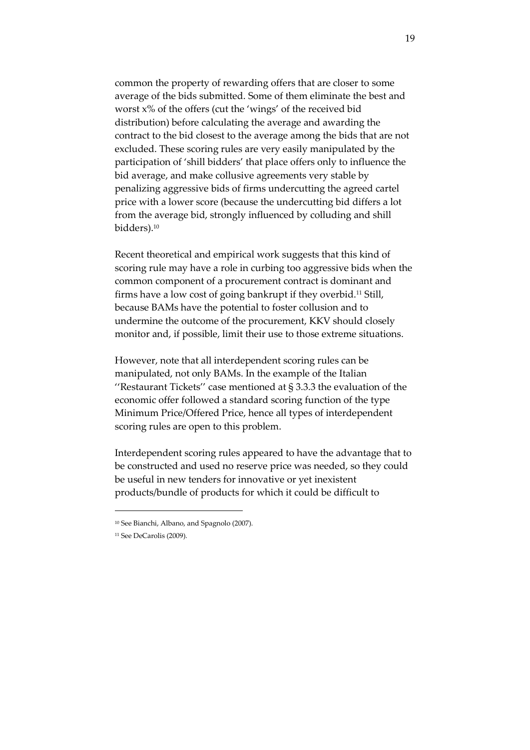common the property of rewarding offers that are closer to some average of the bids submitted. Some of them eliminate the best and worst x% of the offers (cut the 'wings' of the received bid distribution) before calculating the average and awarding the contract to the bid closest to the average among the bids that are not excluded. These scoring rules are very easily manipulated by the participation of 'shill bidders' that place offers only to influence the bid average, and make collusive agreements very stable by penalizing aggressive bids of firms undercutting the agreed cartel price with a lower score (because the undercutting bid differs a lot from the average bid, strongly influenced by colluding and shill bidders).<sup>10</sup>

<span id="page-19-0"></span>Recent theoretical and empirical work suggests that this kind of scoring rule may have a role in curbing too aggressive bids when the common component of a procurement contract is dominant and firms have a low cost of going bankrupt if they overbid.11 Still, because BAMs have the potential to foster collusion and to undermine the outcome of the procurement, KKV should closely monitor and, if possible, limit their use to those extreme situations.

However, note that all interdependent scoring rules can be manipulated, not only BAMs. In the example of the Italian ''Restaurant Tickets'' case mentioned at § 3.3.3 the evaluation of the economic offer followed a standard scoring function of the type Minimum Price/Offered Price, hence all types of interdependent scoring rules are open to this problem.

Interdependent scoring rules appeared to have the advantage that to be constructed and used no reserve price was needed, so they could be useful in new tenders for innovative or yet inexistent products/bundle of products for which it could be difficult to

<sup>10</sup> See Bianchi, Albano, and Spagnolo (2007).

<sup>11</sup> See DeCarolis (2009).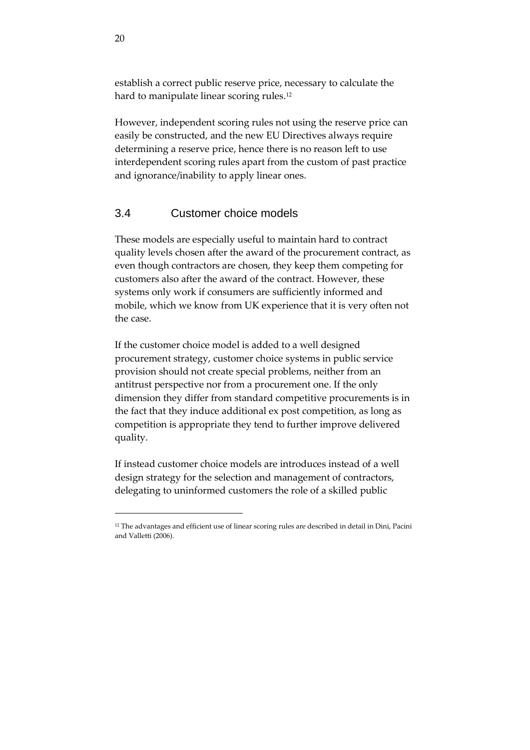establish a correct public reserve price, necessary to calculate the hard to manipulate linear scoring rules.<sup>12</sup>

<span id="page-20-0"></span>However, independent scoring rules not using the reserve price can easily be constructed, and the new EU Directives always require determining a reserve price, hence there is no reason left to use interdependent scoring rules apart from the custom of past practice and ignorance/inability to apply linear ones.

#### 3.4 Customer choice models

These models are especially useful to maintain hard to contract quality levels chosen after the award of the procurement contract, as even though contractors are chosen, they keep them competing for customers also after the award of the contract. However, these systems only work if consumers are sufficiently informed and mobile, which we know from UK experience that it is very often not the case.

If the customer choice model is added to a well designed procurement strategy, customer choice systems in public service provision should not create special problems, neither from an antitrust perspective nor from a procurement one. If the only dimension they differ from standard competitive procurements is in the fact that they induce additional ex post competition, as long as competition is appropriate they tend to further improve delivered quality.

If instead customer choice models are introduces instead of a well design strategy for the selection and management of contractors, delegating to uninformed customers the role of a skilled public

<sup>&</sup>lt;sup>12</sup> The advantages and efficient use of linear scoring rules are described in detail in Dini, Pacini and Valletti (2006).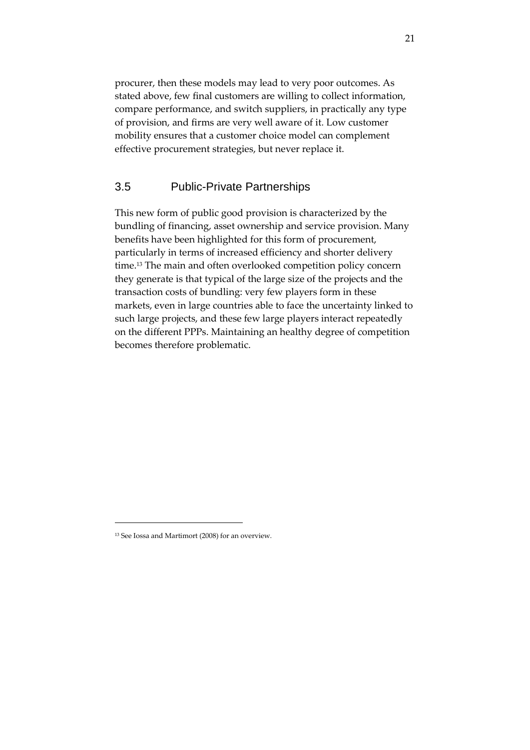<span id="page-21-0"></span>procurer, then these models may lead to very poor outcomes. As stated above, few final customers are willing to collect information, compare performance, and switch suppliers, in practically any type of provision, and firms are very well aware of it*.* Low customer mobility ensures that a customer choice model can complement effective procurement strategies, but never replace it.

#### 3.5 Public-Private Partnerships

This new form of public good provision is characterized by the bundling of financing, asset ownership and service provision. Many benefits have been highlighted for this form of procurement, particularly in terms of increased efficiency and shorter delivery time.13 The main and often overlooked competition policy concern they generate is that typical of the large size of the projects and the transaction costs of bundling: very few players form in these markets, even in large countries able to face the uncertainty linked to such large projects, and these few large players interact repeatedly on the different PPPs. Maintaining an healthy degree of competition becomes therefore problematic.

<sup>13</sup> See Iossa and Martimort (2008) for an overview.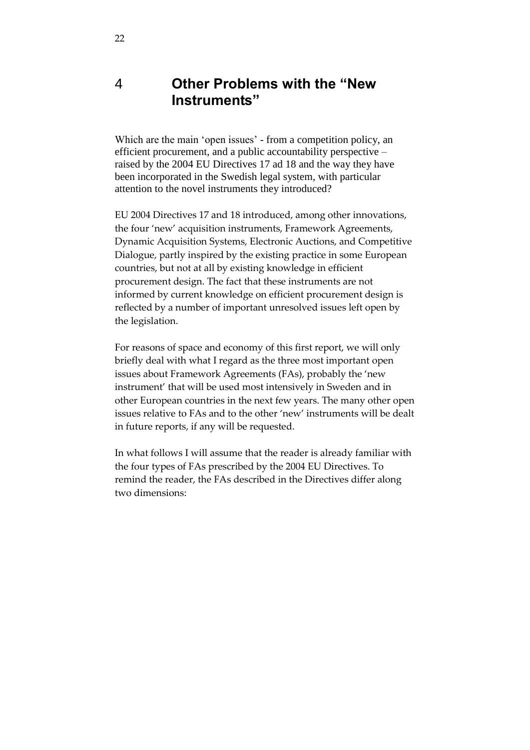## 4 **Other Problems with the "New Instruments"**

Which are the main 'open issues' - from a competition policy, an efficient procurement, and a public accountability perspective – raised by the 2004 EU Directives 17 ad 18 and the way they have been incorporated in the Swedish legal system, with particular attention to the novel instruments they introduced?

EU 2004 Directives 17 and 18 introduced, among other innovations, the four 'new' acquisition instruments, Framework Agreements, Dynamic Acquisition Systems, Electronic Auctions, and Competitive Dialogue, partly inspired by the existing practice in some European countries, but not at all by existing knowledge in efficient procurement design. The fact that these instruments are not informed by current knowledge on efficient procurement design is reflected by a number of important unresolved issues left open by the legislation.

For reasons of space and economy of this first report, we will only briefly deal with what I regard as the three most important open issues about Framework Agreements (FAs), probably the 'new instrument' that will be used most intensively in Sweden and in other European countries in the next few years. The many other open issues relative to FAs and to the other 'new' instruments will be dealt in future reports, if any will be requested.

In what follows I will assume that the reader is already familiar with the four types of FAs prescribed by the 2004 EU Directives. To remind the reader, the FAs described in the Directives differ along two dimensions: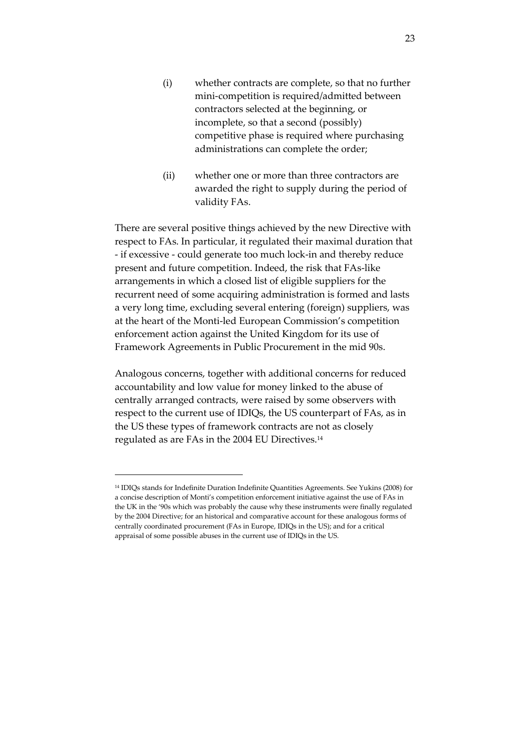- (i) whether contracts are complete, so that no further mini-competition is required/admitted between contractors selected at the beginning, or incomplete, so that a second (possibly) competitive phase is required where purchasing administrations can complete the order;
- (ii) whether one or more than three contractors are awarded the right to supply during the period of validity FAs.

There are several positive things achieved by the new Directive with respect to FAs. In particular, it regulated their maximal duration that - if excessive - could generate too much lock-in and thereby reduce present and future competition. Indeed, the risk that FAs-like arrangements in which a closed list of eligible suppliers for the recurrent need of some acquiring administration is formed and lasts a very long time, excluding several entering (foreign) suppliers, was at the heart of the Monti-led European Commission's competition enforcement action against the United Kingdom for its use of Framework Agreements in Public Procurement in the mid 90s.

Analogous concerns, together with additional concerns for reduced accountability and low value for money linked to the abuse of centrally arranged contracts, were raised by some observers with respect to the current use of IDIQs, the US counterpart of FAs, as in the US these types of framework contracts are not as closely regulated as are FAs in the 2004 EU Directives.<sup>14</sup>

<sup>14</sup> IDIQs stands for Indefinite Duration Indefinite Quantities Agreements. See Yukins (2008) for a concise description of Monti's competition enforcement initiative against the use of FAs in the UK in the '90s which was probably the cause why these instruments were finally regulated by the 2004 Directive; for an historical and comparative account for these analogous forms of centrally coordinated procurement (FAs in Europe, IDIQs in the US); and for a critical appraisal of some possible abuses in the current use of IDIQs in the US.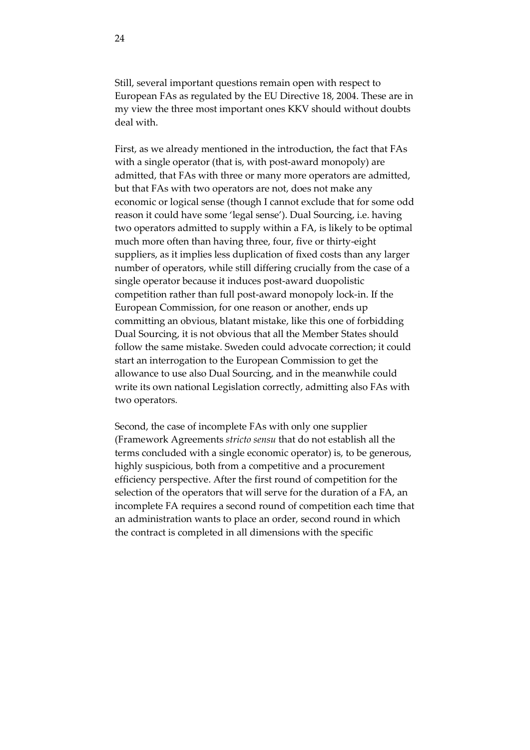Still, several important questions remain open with respect to European FAs as regulated by the EU Directive 18, 2004. These are in my view the three most important ones KKV should without doubts deal with.

First, as we already mentioned in the introduction, the fact that FAs with a single operator (that is, with post-award monopoly) are admitted, that FAs with three or many more operators are admitted, but that FAs with two operators are not, does not make any economic or logical sense (though I cannot exclude that for some odd reason it could have some 'legal sense'). Dual Sourcing, i.e. having two operators admitted to supply within a FA, is likely to be optimal much more often than having three, four, five or thirty-eight suppliers, as it implies less duplication of fixed costs than any larger number of operators, while still differing crucially from the case of a single operator because it induces post-award duopolistic competition rather than full post-award monopoly lock-in. If the European Commission, for one reason or another, ends up committing an obvious, blatant mistake, like this one of forbidding Dual Sourcing, it is not obvious that all the Member States should follow the same mistake. Sweden could advocate correction; it could start an interrogation to the European Commission to get the allowance to use also Dual Sourcing, and in the meanwhile could write its own national Legislation correctly, admitting also FAs with two operators*.*

Second, the case of incomplete FAs with only one supplier (Framework Agreements *stricto sensu* that do not establish all the terms concluded with a single economic operator) is, to be generous, highly suspicious, both from a competitive and a procurement efficiency perspective. After the first round of competition for the selection [of the operators that will serve for the duration of a FA, an](http://ec.europa.eu/internal_market/publicprocurement/docs/explan-notes/classic-dir-framework_en.pdf)  incomplete FA requires a second round of competition each time that [an administration wants to](http://ec.europa.eu/internal_market/publicprocurement/docs/explan-notes/classic-dir-framework_en.pdf) place an order, second round in which the contract is completed in all dimensions with the specific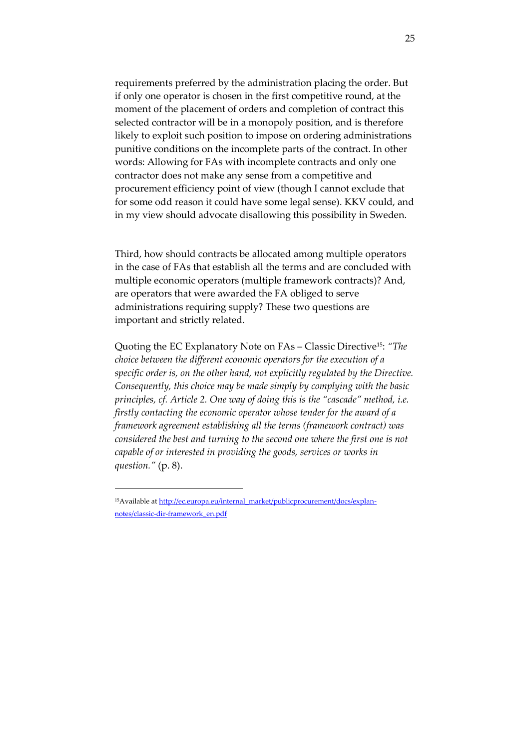requirements preferred by the administration placing the order. But if only one operator is chosen in the first competitive round, at the moment of the placement of orders and completion of contract this selected contractor will be in a monopoly position, and is therefore likely to exploit such position to impose on ordering administrations punitive conditions on the incomplete parts of the contract. In other words: Allowing for FAs with incomplete contracts and only one contractor does not make any sense from a competitive and procurement efficiency point of view (though I cannot exclude that for some odd reason it could have some legal sense). KKV could, and in my view should advocate disallowing this possibility in Sweden.

Third, how should contracts be allocated among multiple operators in the case of FAs that establish all the terms and are concluded with multiple economic operators (multiple framework contracts)? And, are operators that were awarded the FA obliged to serve administrations requiring supply? These two questions are important and strictly related.

Quoting the EC Explanatory Note on FAs – Classic Directive15: *"The choice between the different economic operators for the execution of a specific order is, on the other hand, not explicitly regulated by the Directive. Consequently, this choice may be made simply by complying with the basic principles, cf. Article 2. One way of doing this is the "cascade" method, i.e. firstly contacting the economic operator whose tender for the award of a framework agreement establishing all the terms (framework contract) was considered the best and turning to the second one where the first one is not capable of or interested in providing the goods, services or works in question."* (p. 8).

<sup>&</sup>lt;sup>15</sup>Available at http://ec.europa.eu/internal\_market/publicprocurement/docs/explannotes/classic-dir-framework\_en.pdf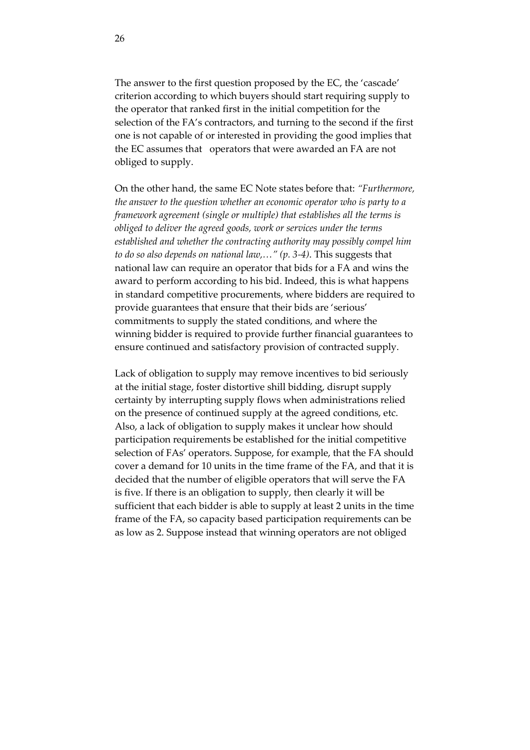The answer to the first question proposed by the EC, the 'cascade' criterion according to which buyers should start requiring supply to the operator that ranked first in the initial competition for the selection of the FA's contractors, and turning to the second if the first one is not capable of or interested in providing the good implies that the EC assumes that operators that were awarded an FA are not obliged to supply.

On the other hand, the same EC Note states before that: *"Furthermore, the answer to the question whether an economic operator who is party to a framework agreement (single or multiple) that establishes all the terms is obliged to deliver the agreed goods, work or services under the terms established and whether the contracting authority may possibly compel him to do so also depends on national law,…" (p. 3-4)*. This suggests that national law can require an operator that bids for a FA and wins the award to perform according to his bid. Indeed, this is what happens in standard competitive procurements, where bidders are required to provide guarantees that ensure that their bids are 'serious' commitments to supply the stated conditions, and where the winning bidder is required to provide further financial guarantees to ensure continued and satisfactory provision of contracted supply.

Lack of obligation to supply may remove incentives to bid seriously at the initial stage, foster distortive shill bidding, disrupt supply certainty by interrupting supply flows when administrations relied on the presence of continued supply at the agreed conditions, etc. Also, a lack of obligation to supply makes it unclear how should participation requirements be established for the initial competitive selection of FAs' operators. Suppose, for example, that the FA should cover a demand for 10 units in the time frame of the FA, and that it is decided that the number of eligible operators that will serve the FA is five. If there is an obligation to supply, then clearly it will be sufficient that each bidder is able to supply at least 2 units in the time frame of the FA, so capacity based participation requirements can be as low as 2. Suppose instead that winning operators are not obliged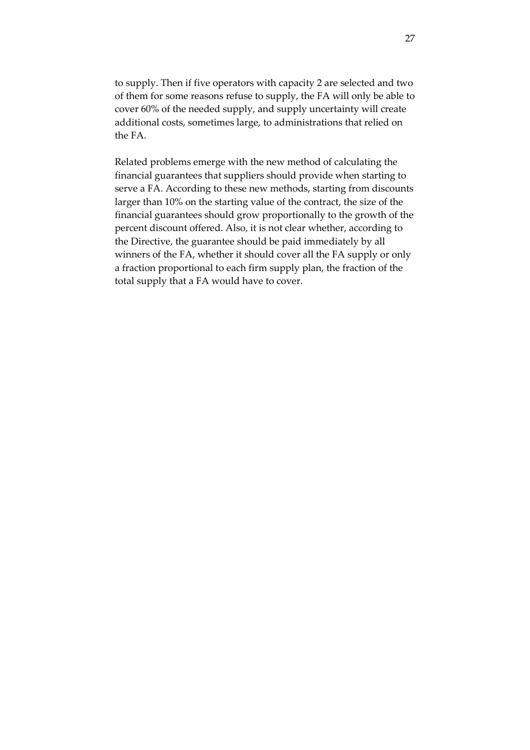to supply. Then if five operators with capacity 2 are selected and two of them for some reasons refuse to supply, the FA will only be able to cover 60% of the needed supply, and supply uncertainty will create additional costs, sometimes large, to administrations that relied on the FA.

Related problems emerge with the new method of calculating the financial guarantees that suppliers should provide when starting to serve a FA. According to these new methods, starting from discounts larger than 10% on the starting value of the contract, the size of the financial guarantees should grow proportionally to the growth of the percent discount offered. Also, it is not clear whether, according to the Directive, the guarantee should be paid immediately by all winners of the FA, whether it should cover all the FA supply or only a fraction proportional to each firm supply plan, the fraction of the total supply that a FA would have to cover.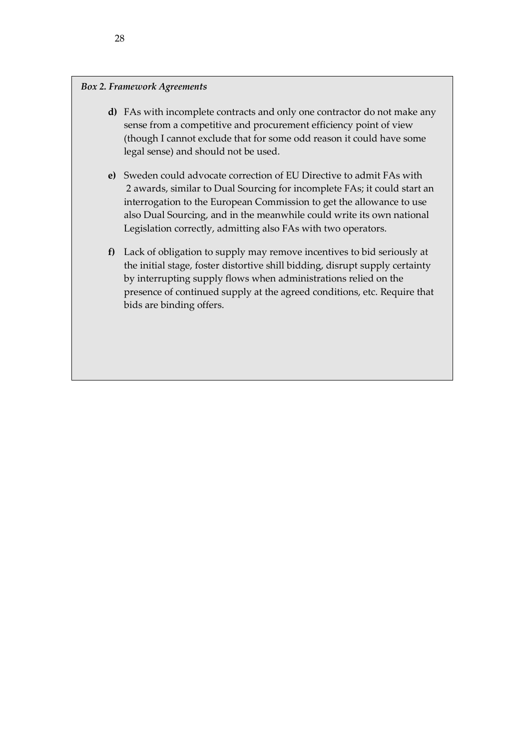#### *Box 2. Framework Agreements*

- <span id="page-28-0"></span>**d)** FAs with incomplete contracts and only one contractor do not make any sense from a competitive and procurement efficiency point of view (though I cannot exclude that for some odd reason it could have some legal sense) and should not be used.
- **e)** Sweden could advocate correction of EU Directive to admit FAs with 2 awards, similar to Dual Sourcing for incomplete FAs; it could start an interrogation to the European Commission to get the allowance to use also Dual Sourcing, and in the meanwhile could write its own national Legislation correctly, admitting also FAs with two operators.
- **f)** Lack of obligation to supply may remove incentives to bid seriously at the initial stage, foster distortive shill bidding, disrupt supply certainty by interrupting supply flows when administrations relied on the presence of continued supply at the agreed conditions, etc. Require that bids are binding offers.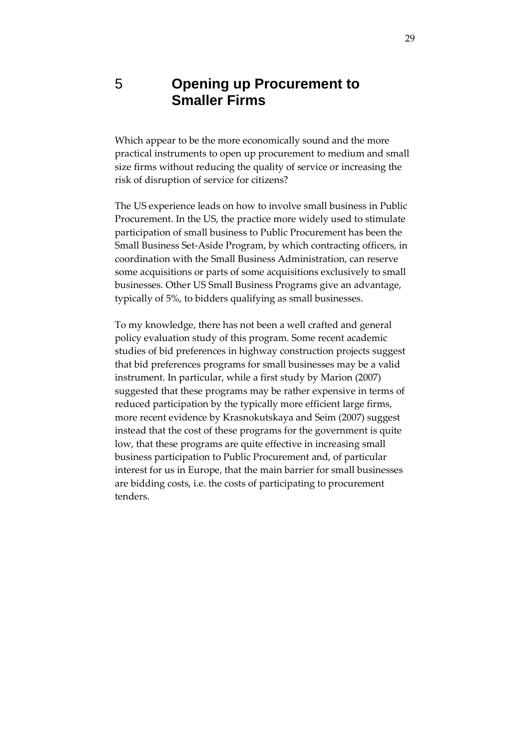## 5 **Opening up Procurement to Smaller Firms**

Which appear to be the more economically sound and the more practical instruments to open up procurement to medium and small size firms without reducing the quality of service or increasing the risk of disruption of service for citizens?

The US experience leads on how to involve small business in Public Procurement. In the US, the practice more widely used to stimulate participation of small business to Public Procurement has been the Small Business Set-Aside Program, by which contracting officers, in coordination with the Small Business Administration, can reserve some acquisitions or parts of some acquisitions exclusively to small businesses. Other US Small Business Programs give an advantage, typically of 5%, to bidders qualifying as small businesses.

To my knowledge, there has not been a well crafted and general policy evaluation study of this program. Some recent academic studies of bid preferences in highway construction projects suggest that bid preferences programs for small businesses may be a valid instrument. In particular, while a first study by Marion (2007) suggested that these programs may be rather expensive in terms of reduced participation by the typically more efficient large firms, more recent evidence by Krasnokutskaya and Seim (2007) suggest instead that the cost of these programs for the government is quite low[, that these progr](http://www.sba.gov/)ams are quite effective in increasing small business participation to Public Procurement and, of particular interest for us in Europe, that the main barrier for small businesses are bidding costs, i.e. the costs of participating to procurement tenders.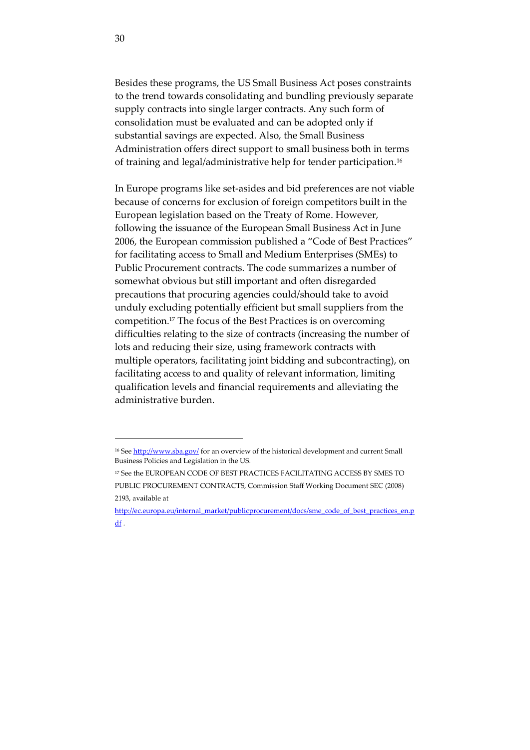Besides these programs, the US Small Business Act poses constraints to the trend towards consolidating and bundling previously separate supply contracts into single larger contracts. Any such form of consolidation must be evaluated and can be adopted only if substantial savings are expected. Also, the Small Business Administration offers direct support to small business both in terms of training and legal/administrative help for tender participation.<sup>16</sup>

In Europe programs like set-asides and bid preferences are not viable because of concerns for exclusion of foreign competitors built in the European legislation based on the Treaty of Rome. However, following the issuance of the European Small Business Act in June 2006, the European commission published a 'Code of Best Practices' for facilitating access to Small and Medium Enterprises (SMEs) to Public Procurement contracts. The code summarizes a number of somewhat obvious but still important and often disregarded precautions that procuring agencies could/should take to avoid unduly excluding potentially efficient but small suppliers from the competition.17 The focus of the Best Practices is on overcoming difficulties relating to the size of contracts (increasing the number of lots and reducing their size, using framework contracts with multiple operators, facilitating joint bidding and subcontracting), on facilitating access to and quality of relevant information, limiting qualification levels and financial requirements and alleviating the administrative burden.

<sup>&</sup>lt;sup>16</sup> See http://www.sba.gov/ for an overview of the historical development and current Small Business Policies and Legislation in the US.

<sup>&</sup>lt;sup>17</sup> See the EUROPEAN CODE OF BEST PRACTICES FACILITATING ACCESS BY SMES TO PUBLIC PROCUREMENT CONTRACTS, Commission Staff Working Document SEC (2008) 2193, available at

http://ec.europa.eu/internal\_market/publicprocurement/docs/sme\_code\_of\_best\_practices\_en.p df .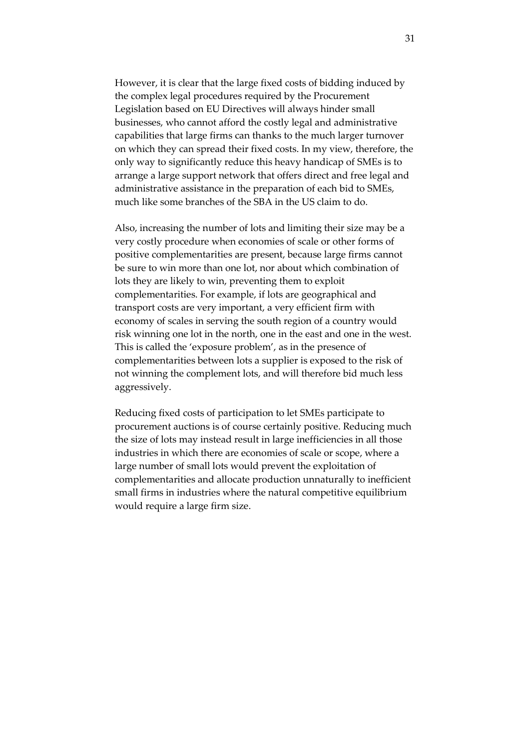However, it is clear that the large fixed costs of bidding induced by the complex legal procedures required by the Procurement Legislation based on EU Directives will always hinder small businesses, who cannot afford the costly legal and administrative capabilities that large firms can thanks to the much larger turnover on which they can spread their fixed costs. In my view, therefore, the only way to significantly reduce this heavy handicap of SMEs is to arrange a large support network that offers direct and free legal and administrative assistance in the preparation of each bid to SMEs, much like some branches of the SBA in the US claim to do.

Also, increasing the number of lots and limiting their size may be a very costly procedure when economies of scale or other forms of positive complementarities are present, because large firms cannot be sure to win more than one lot, nor about which combination of lots they are likely to win, preventing them to exploit complementarities. For example, if lots are geographical and transport costs are very important, a very efficient firm with economy of scales in serving the south region of a country would risk winning one lot in the north, one in the east and one in the west. This is called the 'exposure problem', as in the presence of complementarities between lots a supplier is exposed to the risk of not winning the complement lots, and will therefore bid much less aggressively.

Reducing fixed costs of participation to let SMEs participate to procurement auctions is of course certainly positive. Reducing much the size of lots may instead result in large inefficiencies in all those industries in which there are economies of scale or scope, where a large number of small lots would prevent the exploitation of complementarities and allocate production unnaturally to inefficient small firms in industries where the natural competitive equilibrium would require a large firm size.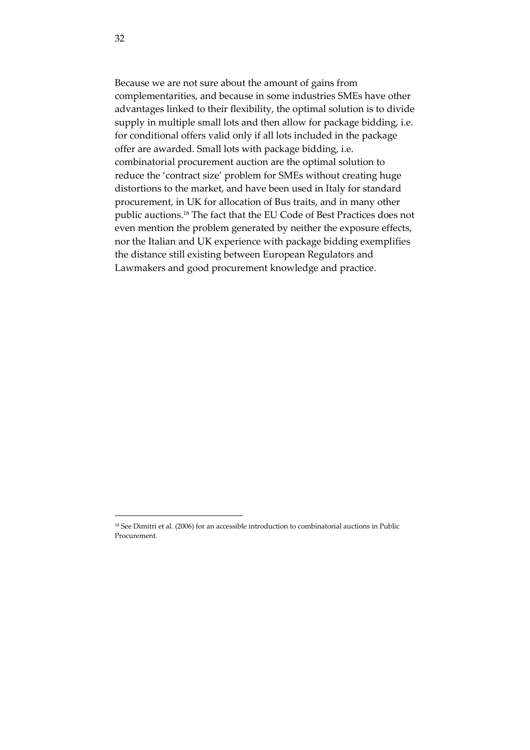<span id="page-32-0"></span>Because we are not sure about the amount of gains from complementarities, and because in some industries SMEs have other advantages linked to their flexibility, the optimal solution is to divide supply in multiple small lots and then allow for package bidding, i.e. for conditional offers valid only if all lots included in the package offer are awarded. Small lots with package bidding, i.e. combinatorial procurement auction are the optimal solution to reduce the 'contract size' problem for SMEs without creating huge distortions to the market, and have been used in Italy for standard procurement, in UK for allocation of Bus traits, and in many other public auctions.18 The fact that the EU Code of Best Practices does not even mention the problem generated by neither the exposure effects, nor the Italian and UK experience with package bidding exemplifies the distance still existing between European Regulators and Lawmakers and good procurement knowledge and practice.

<sup>&</sup>lt;sup>18</sup> See Dimitri et al. (2006) for an accessible introduction to combinatorial auctions in Public Procurement.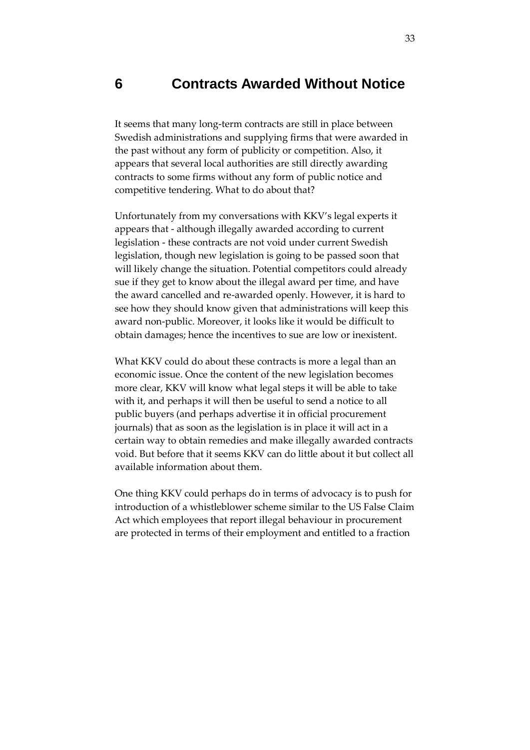## **6 Contracts Awarded Without Notice**

It seems that many long-term contracts are still in place between Swedish administrations and supplying firms that were awarded in the past without any form of publicity or competition. Also, it appears that several local authorities are still directly awarding contracts to some firms without any form of public notice and competitive tendering. What to do about that?

Unfortunately from my conversations with KKV's legal experts it appears that - although illegally awarded according to current legislation - these contracts are not void under current Swedish legislation, though new legislation is going to be passed soon that will likely change the situation. Potential competitors could already sue if they get to know about the illegal award per time, and have the award cancelled and re-awarded openly. However, it is hard to see how they should know given that administrations will keep this award non-public. Moreover, it looks like it would be difficult to obtain damages; hence the incentives to sue are low or inexistent.

What KKV could do about these contracts is more a legal than an economic issue. Once the content of the new legislation becomes more clear, KKV will know what legal steps it will be able to take with it, and perhaps it will then be useful to send a notice to all public buyers (and perhaps advertise it in official procurement journals) that as soon as the legislation is in place it will act in a certain way to obtain remedies and make illegally awarded contracts void. But before that it seems KKV can do little about it but collect all available information about them.

One thing KKV could perhaps do in terms of advocacy is to push for introduction of a whistleblower scheme similar to the US False Claim Act which employees that report illegal behaviour in procurement are protected in terms of their employment and entitled to a fraction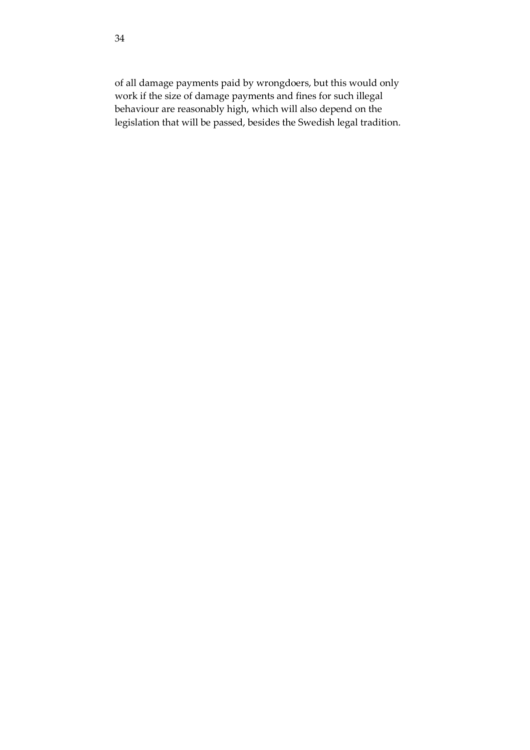<span id="page-34-0"></span>of all damage payments paid by wrongdoers, but this would only work if the size of damage payments and fines for such illegal behaviour are reasonably high, which will also depend on the legislation that will be passed, besides the Swedish legal tradition.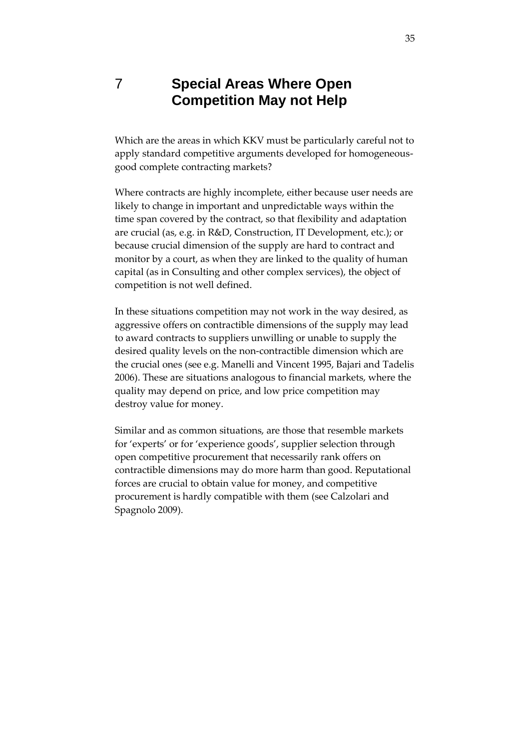## 7 **Special Areas Where Open Competition May not Help**

Which are the areas in which KKV must be particularly careful not to apply standard competitive arguments developed for homogeneousgood complete contracting markets?

Where contracts are highly incomplete, either because user needs are likely to change in important and unpredictable ways within the time span covered by the contract, so that flexibility and adaptation are crucial (as, e.g. in R&D, Construction, IT Development, etc.); or because crucial dimension of the supply are hard to contract and monitor by a court, as when they are linked to the quality of human capital (as in Consulting and other complex services), the object of competition is not well defined.

In these situations competition may not work in the way desired, as aggressive offers on contractible dimensions of the supply may lead to award contracts to suppliers unwilling or unable to supply the desired quality levels on the non-contractible dimension which are the crucial ones (see e.g. Manelli and Vincent 1995, Bajari and Tadelis 2006). These are situations analogous to financial markets, where the quality may depend on price, and low price competition may destroy value for money.

Similar and as common situations, are those that resemble markets for 'experts' or for 'experience goods', supplier selection through open competitive procurement that necessarily rank offers on contractible dimensions may do more harm than good. Reputational forces are crucial to obtain value for money, and competitive procurement is hardly compatible with them (see Calzolari and Spagnolo 2009).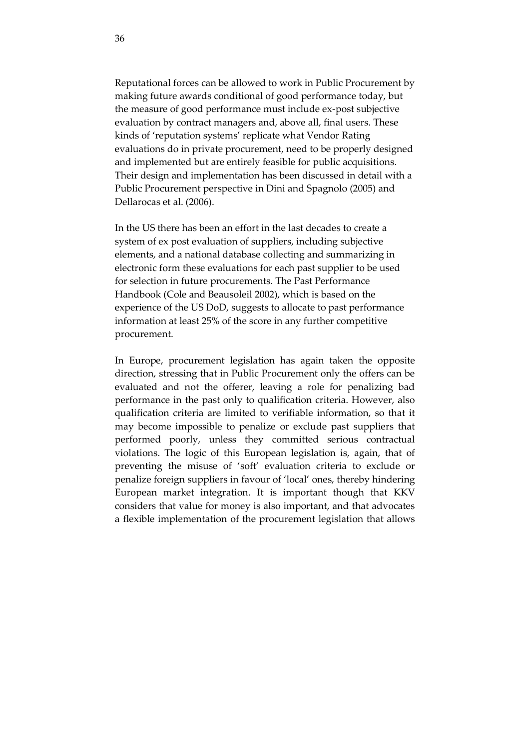Reputational forces can be allowed to work in Public Procurement by making future awards conditional of good performance today, but the measure of good performance must include ex-post subjective evaluation by contract managers and, above all, final users. These kinds of 'reputation systems' replicate what Vendor Rating evaluations do in private procurement, need to be properly designed and implemented but are entirely feasible for public acquisitions. Their design and implementation has been discussed in detail with a Public Procurement perspective in Dini and Spagnolo (2005) and Dellarocas et al. (2006).

In the US there has been an effort in the last decades to create a system of ex post evaluation of suppliers, including subjective elements, and a national database collecting and summarizing in electronic form these evaluations for each past supplier to be used for selection in future procurements. The Past Performance Handbook (Cole and Beausoleil 2002), which is based on the experience of the US DoD, suggests to allocate to past performance information at least 25% of the score in any further competitive procurement.

In Europe, procurement legislation has again taken the opposite direction, stressing that in Public Procurement only the offers can be evaluated and not the offerer, leaving a role for penalizing bad performance in the past only to qualification criteria. However, also qualification criteria are limited to verifiable information, so that it may become impossible to penalize or exclude past suppliers that performed poorly, unless they committed serious contractual violations. The logic of this European legislation is, again, that of preventing the misuse of 'soft' evaluation criteria to exclude or penalize foreign suppliers in favour of 'local' ones, thereby hindering European market integration. It is important though that KKV considers that value for money is also important, and that advocates a flexible implementation of the procurement legislation that allows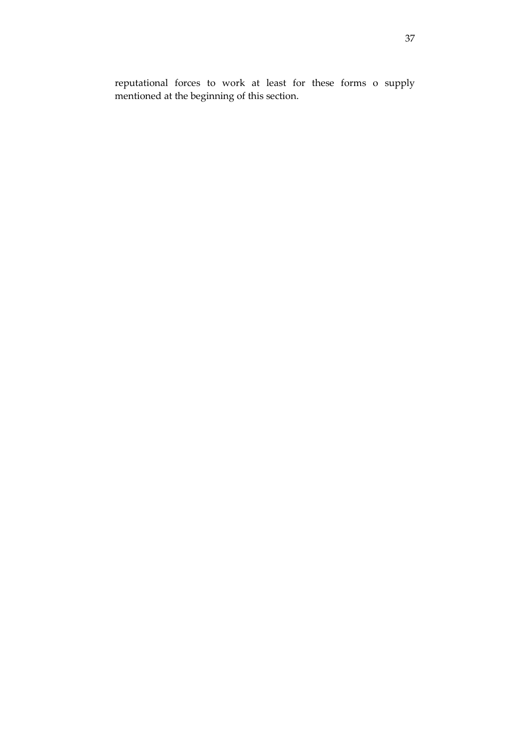reputational forces to work at least for these forms o supply mentioned at the beginning of this section.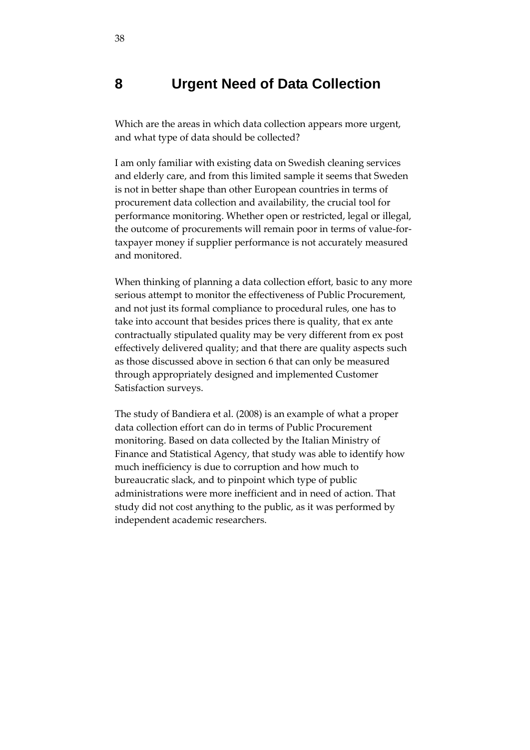## **8 Urgent Need of Data Collection**

Which are the areas in which data collection appears more urgent, and what type of data should be collected?

I am only familiar with existing data on Swedish cleaning services and elderly care, and from this limited sample it seems that Sweden is not in better shape than other European countries in terms of procurement data collection and availability, the crucial tool for performance monitoring. Whether open or restricted, legal or illegal, the outcome of procurements will remain poor in terms of value-fortaxpayer money if supplier performance is not accurately measured and monitored.

When thinking of planning a data collection effort, basic to any more serious attempt to monitor the effectiveness of Public Procurement, and not just its formal compliance to procedural rules, one has to take into account that besides prices there is quality, that ex ante contractually stipulated quality may be very different from ex post effectively delivered quality; and that there are quality aspects such as those discussed above in section 6 that can only be measured through appropriately designed and implemented Customer Satisfaction surveys.

The study of Bandiera et al. (2008) is an example of what a proper data collection effort can do in terms of Public Procurement monitoring. Based on data collected by the Italian Ministry of Finance and Statistical Agency, that study was able to identify how much inefficiency is due to corruption and how much to bureaucratic slack, and to pinpoint which type of public administrations were more inefficient and in need of action. That study did not cost anything to the public, as it was performed by independent academic researchers.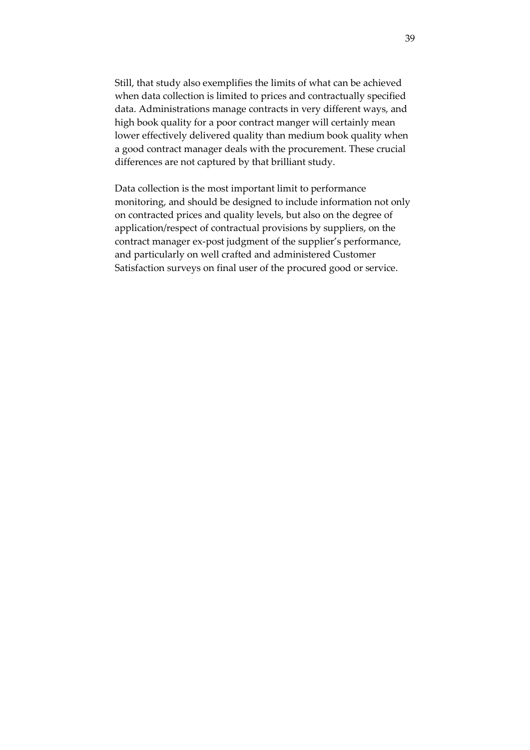Still, that study also exemplifies the limits of what can be achieved when data collection is limited to prices and contractually specified data. Administrations manage contracts in very different ways, and high book quality for a poor contract manger will certainly mean lower effectively delivered quality than medium book quality when a good contract manager deals with the procurement. These crucial differences are not captured by that brilliant study.

Data collection is the most important limit to performance monitoring, and should be designed to include information not only on contracted prices and quality levels, but also on the degree of application/respect of contractual provisions by suppliers, on the contract manager ex-post judgment of the supplier's performance, and particularly on well crafted and administered Customer Satisfaction surveys on final user of the procured good or service.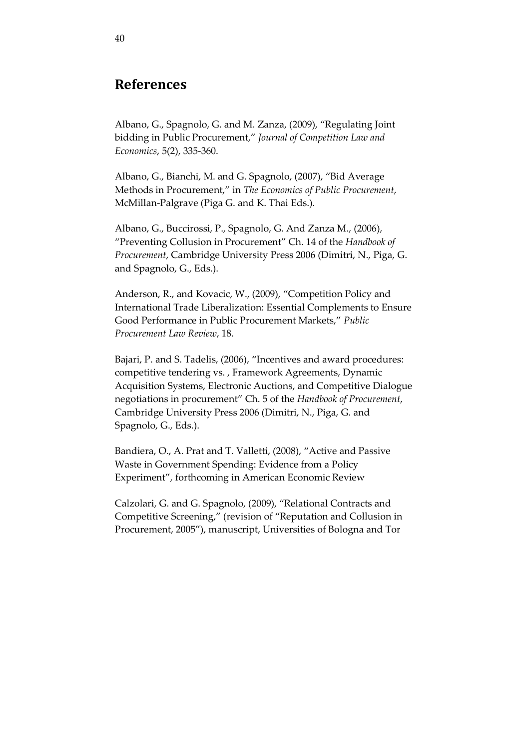## **References**

Albano, G., Spagnolo, G. and M. Zanza, (2009), 'Regulating Joint bidding in Public Procurement,' *Journal of Competition Law and Economics*, 5(2), 335-360.

[Albano, G., Bianchi, M. and G. Spagnolo, \(2007\), 'Bid Average](http://home.uchicago.edu/~fdc/Decarolis,When_the_Highest_Bidder_Loses.pdf)  [Methods in](http://home.uchicago.edu/~fdc/Decarolis,When_the_Highest_Bidder_Loses.pdf) Procurement,' in *The Economics of Public Procurement*, McMillan-Palgrave (Piga G. and K. Thai Eds.).

Albano, G., Buccirossi, P., Spagnolo, G. And Zanza M., (2006), 'Preventing Collusion in Procurement' Ch. 14 of the *Handbook of Procurement*, Cambridge University Press 2006 (Dimitri, N., Piga, G. and Spagnolo, G., Eds.).

Anderson, R., and Kovacic, W., (2009), 'Competition Policy and International Trade Liberalization: Essential Complements to Ensure Good Performance in Public Procurement Markets,' *Public Procurement Law Review*, 18.

Bajari, P. and S. Tadelis, (2006), 'Incentives and award procedures: competitive tendering vs. , Framework Agreements, Dynamic Acquisition Systems, Electronic Auctions, and Competitive Dialogue negotiations in procurement' Ch. 5 of the *Handbook of Procurement*, Cambridge University Press 2006 (Dimitri, N., Piga, G. and Spagnolo, G., Eds.).

[Bandiera, O., A. Prat and T. Valletti, \(2008\), '](http://papers.ssrn.com/sol3/papers.cfm?abstract_id=1271082)Active and Passive Waste in Government Spending: Evidence from a Policy Experiment', forthcoming in American Economic Review

Calzolari, G. and G. Spagnolo, (2009), 'Relational Contracts and Competitive Screening,' (revision of 'Reputation and Collusion in Procurement, 2005'), manuscript, Universities of Bologna and Tor